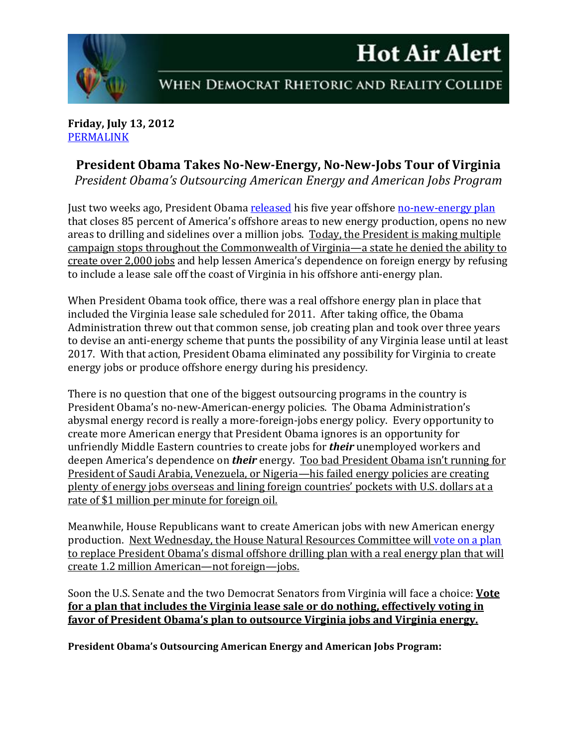## **Hot Air Alert**



WHEN DEMOCRAT RHETORIC AND REALITY COLLIDE

## **Friday, July 13, 2012** PERMALINK

## **President Obama Takes No‐New‐Energy, No‐New‐Jobs Tour of Virginia**

*President Obama's Outsourcing American Energy and American Jobs Program*

Just two weeks ago, President Obama released his five year offshore no-new-energy plan that closes 85 percent of America's offshore areas to new energy production, opens no new areas to drilling and sidelines over a million jobs. Today, the President is making multiple campaign stops throughout the Commonwealth of Virginia—a state he denied the ability to create over 2,000 jobs and help lessen America's dependence on foreign energy by refusing to include a lease sale off the coast of Virginia in his offshore anti-energy plan.

When President Obama took office, there was a real offshore energy plan in place that included the Virginia lease sale scheduled for 2011. After taking office, the Obama Administration threw out that common sense, job creating plan and took over three years to devise an anti-energy scheme that punts the possibility of any Virginia lease until at least 2017. With that action, President Obama eliminated any possibility for Virginia to create energy jobs or produce offshore energy during his presidency.

There is no question that one of the biggest outsourcing programs in the country is President Obama's no-new-American-energy policies. The Obama Administration's abysmal energy record is really a more-foreign-jobs energy policy. Every opportunity to create more American energy that President Obama ignores is an opportunity for unfriendly Middle Eastern countries to create jobs for *their* unemployed workers and deepen America's dependence on *their* energy. Too bad President Obama isn't running for President of Saudi Arabia, Venezuela, or Nigeria—his failed energy policies are creating plenty of energy jobs overseas and lining foreign countries' pockets with U.S. dollars at a rate of \$1 million per minute for foreign oil.

Meanwhile, House Republicans want to create American jobs with new American energy production. Next Wednesday, the House Natural Resources Committee will vote on a plan to replace President Obama's dismal offshore drilling plan with a real energy plan that will create 1.2 million American—not foreign—jobs.

Soon the U.S. Senate and the two Democrat Senators from Virginia will face a choice: **Vote for a plan that includes the Virginia lease sale or do nothing, effectively voting in favor of President Obama's plan to outsource Virginia jobs and Virginia energy.**

**President Obama's Outsourcing American Energy and American Jobs Program:**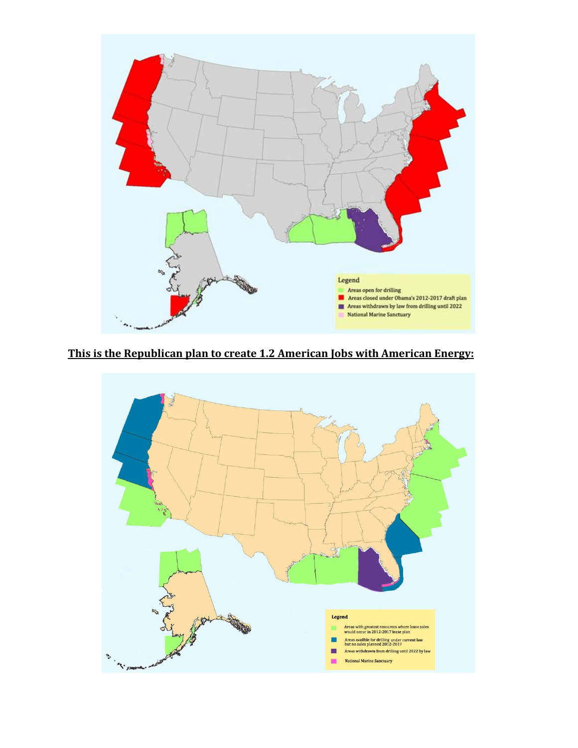

**This is the Republican plan to create 1.2 American Jobs with American Energy:**